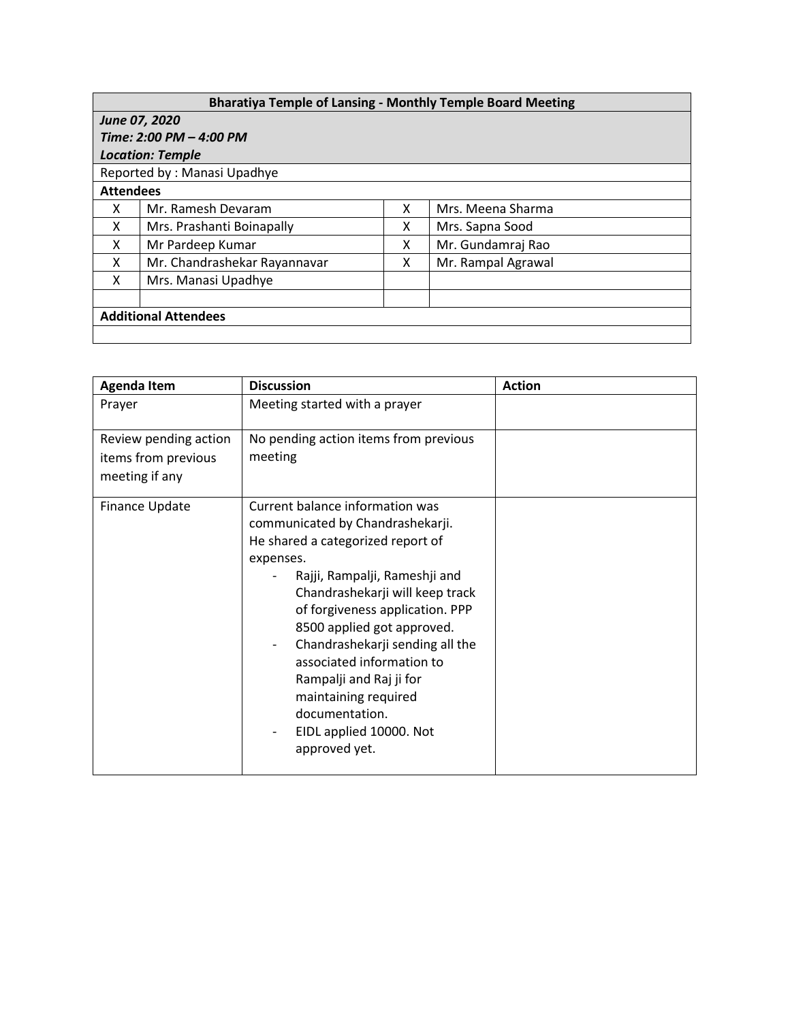| <b>Bharatiya Temple of Lansing - Monthly Temple Board Meeting</b> |                              |   |                    |  |  |  |
|-------------------------------------------------------------------|------------------------------|---|--------------------|--|--|--|
| June 07, 2020                                                     |                              |   |                    |  |  |  |
| Time: 2:00 PM - 4:00 PM                                           |                              |   |                    |  |  |  |
| <b>Location: Temple</b>                                           |                              |   |                    |  |  |  |
| Reported by: Manasi Upadhye                                       |                              |   |                    |  |  |  |
| <b>Attendees</b>                                                  |                              |   |                    |  |  |  |
| x                                                                 | Mr. Ramesh Devaram           | x | Mrs. Meena Sharma  |  |  |  |
| X                                                                 | Mrs. Prashanti Boinapally    | х | Mrs. Sapna Sood    |  |  |  |
| X                                                                 | Mr Pardeep Kumar             | x | Mr. Gundamraj Rao  |  |  |  |
| x                                                                 | Mr. Chandrashekar Rayannavar | x | Mr. Rampal Agrawal |  |  |  |
| X                                                                 | Mrs. Manasi Upadhye          |   |                    |  |  |  |
|                                                                   |                              |   |                    |  |  |  |
| <b>Additional Attendees</b>                                       |                              |   |                    |  |  |  |
|                                                                   |                              |   |                    |  |  |  |

| <b>Agenda Item</b>                                             | <b>Discussion</b>                                                                                                                                                                                                                                                                                                                                                                                                                                                                                   | <b>Action</b> |
|----------------------------------------------------------------|-----------------------------------------------------------------------------------------------------------------------------------------------------------------------------------------------------------------------------------------------------------------------------------------------------------------------------------------------------------------------------------------------------------------------------------------------------------------------------------------------------|---------------|
| Prayer                                                         | Meeting started with a prayer                                                                                                                                                                                                                                                                                                                                                                                                                                                                       |               |
| Review pending action<br>items from previous<br>meeting if any | No pending action items from previous<br>meeting                                                                                                                                                                                                                                                                                                                                                                                                                                                    |               |
| Finance Update                                                 | Current balance information was<br>communicated by Chandrashekarji.<br>He shared a categorized report of<br>expenses.<br>Rajji, Rampalji, Rameshji and<br>Chandrashekarji will keep track<br>of forgiveness application. PPP<br>8500 applied got approved.<br>Chandrashekarji sending all the<br>$\overline{\phantom{a}}$<br>associated information to<br>Rampalji and Raj ji for<br>maintaining required<br>documentation.<br>EIDL applied 10000. Not<br>$\overline{\phantom{a}}$<br>approved yet. |               |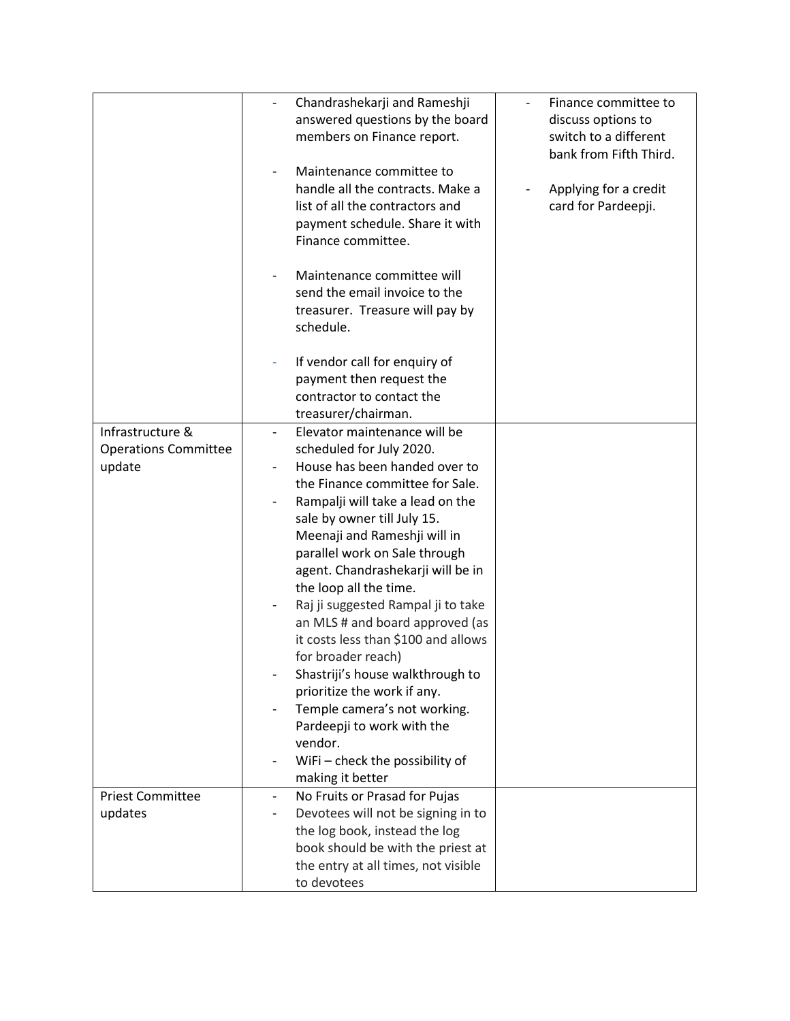|                                                           | Chandrashekarji and Rameshji<br>answered questions by the board<br>members on Finance report.<br>Maintenance committee to<br>handle all the contracts. Make a<br>list of all the contractors and<br>payment schedule. Share it with<br>Finance committee.<br>Maintenance committee will<br>send the email invoice to the<br>treasurer. Treasure will pay by                                                                                                                                                                                                                                                                                                              | Finance committee to<br>discuss options to<br>switch to a different<br>bank from Fifth Third.<br>Applying for a credit<br>card for Pardeepji. |
|-----------------------------------------------------------|--------------------------------------------------------------------------------------------------------------------------------------------------------------------------------------------------------------------------------------------------------------------------------------------------------------------------------------------------------------------------------------------------------------------------------------------------------------------------------------------------------------------------------------------------------------------------------------------------------------------------------------------------------------------------|-----------------------------------------------------------------------------------------------------------------------------------------------|
|                                                           | schedule.<br>If vendor call for enquiry of<br>payment then request the<br>contractor to contact the<br>treasurer/chairman.                                                                                                                                                                                                                                                                                                                                                                                                                                                                                                                                               |                                                                                                                                               |
| Infrastructure &<br><b>Operations Committee</b><br>update | Elevator maintenance will be<br>scheduled for July 2020.<br>House has been handed over to<br>the Finance committee for Sale.<br>Rampalji will take a lead on the<br>sale by owner till July 15.<br>Meenaji and Rameshji will in<br>parallel work on Sale through<br>agent. Chandrashekarji will be in<br>the loop all the time.<br>Raj ji suggested Rampal ji to take<br>an MLS # and board approved (as<br>it costs less than \$100 and allows<br>for broader reach)<br>Shastriji's house walkthrough to<br>prioritize the work if any.<br>Temple camera's not working.<br>Pardeepji to work with the<br>vendor.<br>WiFi - check the possibility of<br>making it better |                                                                                                                                               |
| <b>Priest Committee</b><br>updates                        | No Fruits or Prasad for Pujas<br>$\overline{\phantom{a}}$<br>Devotees will not be signing in to<br>$\overline{\phantom{a}}$<br>the log book, instead the log<br>book should be with the priest at<br>the entry at all times, not visible<br>to devotees                                                                                                                                                                                                                                                                                                                                                                                                                  |                                                                                                                                               |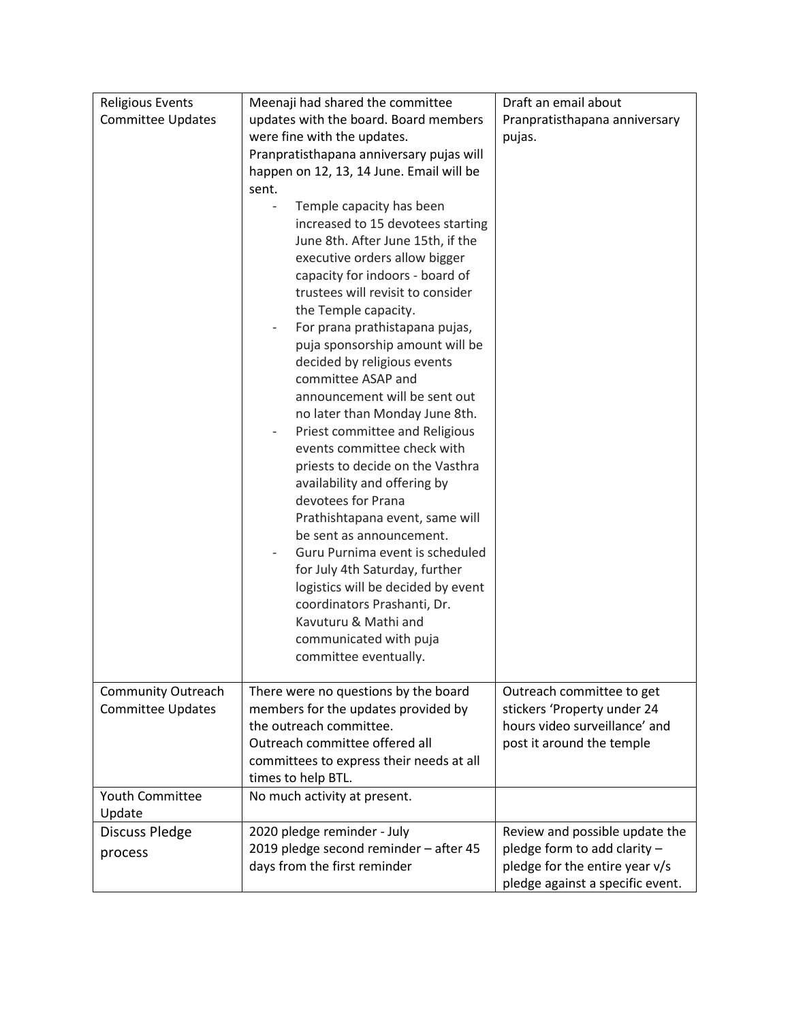| <b>Religious Events</b>   | Meenaji had shared the committee                                     | Draft an email about             |
|---------------------------|----------------------------------------------------------------------|----------------------------------|
| <b>Committee Updates</b>  | updates with the board. Board members                                | Pranpratisthapana anniversary    |
|                           | were fine with the updates.                                          | pujas.                           |
|                           | Pranpratisthapana anniversary pujas will                             |                                  |
|                           | happen on 12, 13, 14 June. Email will be                             |                                  |
|                           | sent.                                                                |                                  |
|                           | Temple capacity has been                                             |                                  |
|                           | increased to 15 devotees starting                                    |                                  |
|                           | June 8th. After June 15th, if the                                    |                                  |
|                           | executive orders allow bigger                                        |                                  |
|                           | capacity for indoors - board of<br>trustees will revisit to consider |                                  |
|                           | the Temple capacity.                                                 |                                  |
|                           | For prana prathistapana pujas,                                       |                                  |
|                           | puja sponsorship amount will be                                      |                                  |
|                           | decided by religious events                                          |                                  |
|                           | committee ASAP and                                                   |                                  |
|                           | announcement will be sent out                                        |                                  |
|                           | no later than Monday June 8th.                                       |                                  |
|                           | Priest committee and Religious                                       |                                  |
|                           | events committee check with                                          |                                  |
|                           | priests to decide on the Vasthra                                     |                                  |
|                           | availability and offering by                                         |                                  |
|                           | devotees for Prana                                                   |                                  |
|                           | Prathishtapana event, same will                                      |                                  |
|                           | be sent as announcement.                                             |                                  |
|                           | Guru Purnima event is scheduled                                      |                                  |
|                           | for July 4th Saturday, further                                       |                                  |
|                           | logistics will be decided by event                                   |                                  |
|                           | coordinators Prashanti, Dr.                                          |                                  |
|                           | Kavuturu & Mathi and                                                 |                                  |
|                           | communicated with puja                                               |                                  |
|                           | committee eventually.                                                |                                  |
| <b>Community Outreach</b> | There were no questions by the board                                 | Outreach committee to get        |
| <b>Committee Updates</b>  | members for the updates provided by                                  | stickers 'Property under 24      |
|                           | the outreach committee.                                              | hours video surveillance' and    |
|                           | Outreach committee offered all                                       | post it around the temple        |
|                           | committees to express their needs at all                             |                                  |
|                           | times to help BTL.                                                   |                                  |
| <b>Youth Committee</b>    | No much activity at present.                                         |                                  |
| Update                    |                                                                      |                                  |
| <b>Discuss Pledge</b>     | 2020 pledge reminder - July                                          | Review and possible update the   |
| process                   | 2019 pledge second reminder - after 45                               | pledge form to add clarity -     |
|                           | days from the first reminder                                         | pledge for the entire year v/s   |
|                           |                                                                      | pledge against a specific event. |